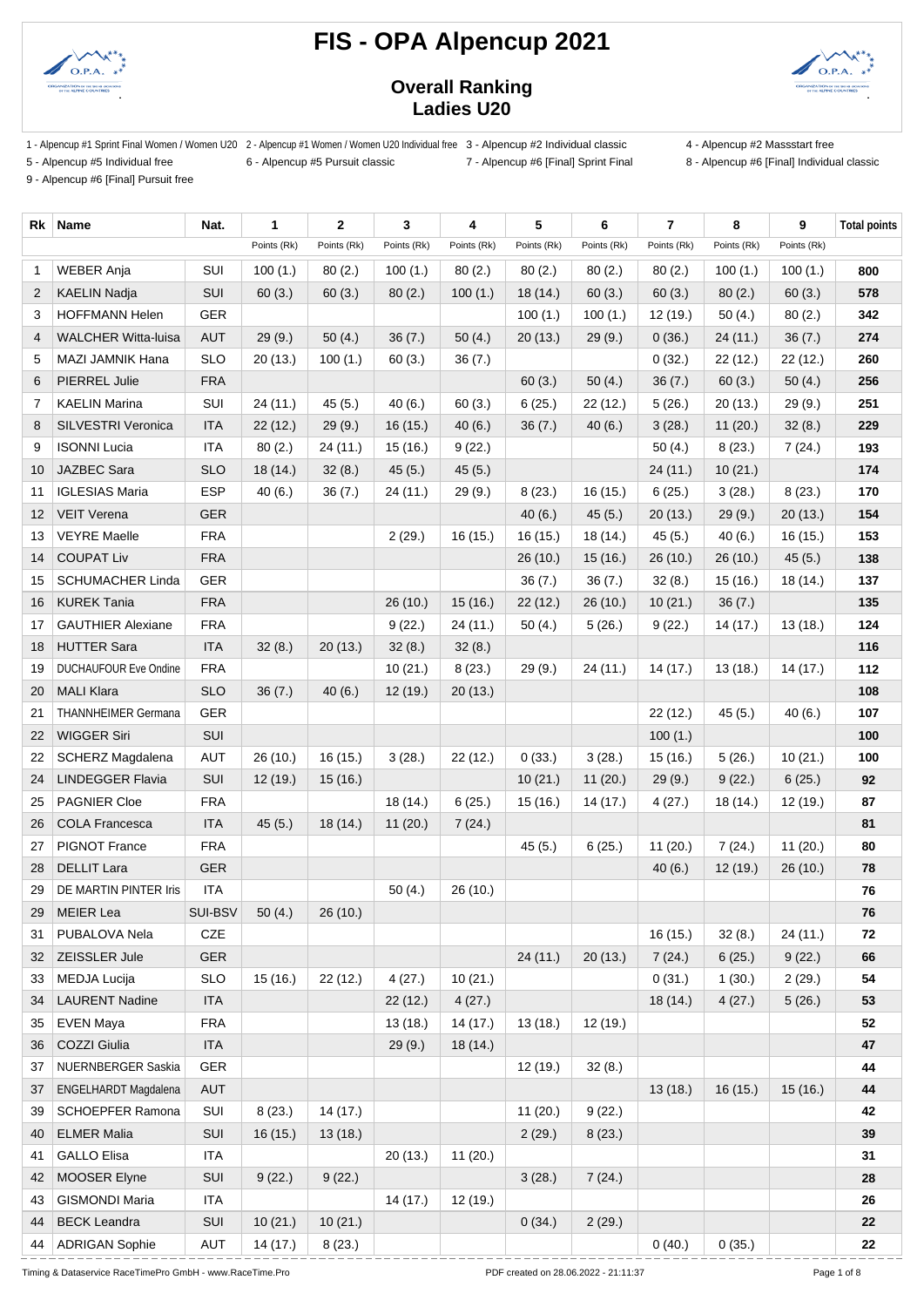



### **Overall Ranking Ladies U20**

1 - Alpencup #1 Sprint Final Women / Women U20 2 - Alpencup #1 Women / Women U20 Individual free 3 - Alpencup #2 Individual classic 4 - Alpencup #2 Massstart free

5 - Alpencup #5 Individual free 6 - Alpencup #5 Pursuit classic 7 - Alpencup #6 [Final] Sprint Final 8 - Alpencup #6 [Final] Individual classic

9 - Alpencup #6 [Final] Pursuit free

| Rk                | Name                         | Nat.       | $\mathbf{1}$ | $\mathbf{2}$ | 3           | 4           | 5           | 6           | $\overline{7}$ | 8           | 9           | <b>Total points</b> |
|-------------------|------------------------------|------------|--------------|--------------|-------------|-------------|-------------|-------------|----------------|-------------|-------------|---------------------|
|                   |                              |            | Points (Rk)  | Points (Rk)  | Points (Rk) | Points (Rk) | Points (Rk) | Points (Rk) | Points (Rk)    | Points (Rk) | Points (Rk) |                     |
| 1                 | <b>WEBER Anja</b>            | SUI        | 100(1.)      | 80(2.)       | 100(1.)     | 80(2.)      | 80(2.)      | 80(2.)      | 80(2.)         | 100(1.)     | 100(1.)     | 800                 |
| 2                 | <b>KAELIN Nadja</b>          | SUI        | 60(3.)       | 60(3.)       | 80(2.)      | 100(1.)     | 18(14.)     | 60(3.)      | 60(3.)         | 80(2.)      | 60(3.)      | 578                 |
| 3                 | <b>HOFFMANN Helen</b>        | <b>GER</b> |              |              |             |             | 100(1.)     | 100(1.)     | 12 (19.)       | 50(4.)      | 80(2.)      | 342                 |
| 4                 | <b>WALCHER Witta-luisa</b>   | <b>AUT</b> | 29(9.)       | 50(4.)       | 36(7.)      | 50 $(4.)$   | 20(13.)     | 29(9.)      | 0(36.)         | 24 (11.)    | 36(7.)      | 274                 |
| 5                 | MAZI JAMNIK Hana             | <b>SLO</b> | 20(13.)      | 100(1.)      | 60(3.)      | 36(7.)      |             |             | 0(32.)         | 22 (12.)    | 22(12.)     | 260                 |
| 6                 | <b>PIERREL Julie</b>         | <b>FRA</b> |              |              |             |             | 60(3.)      | 50(4.)      | 36(7.)         | 60(3.)      | 50(4.)      | 256                 |
| 7                 | <b>KAELIN Marina</b>         | SUI        | 24 (11.)     | 45(5.)       | 40(6.)      | 60(3.)      | 6(25.)      | 22(12.)     | 5(26.)         | 20(13.)     | 29(9.)      | 251                 |
| 8                 | <b>SILVESTRI Veronica</b>    | <b>ITA</b> | 22(12.)      | 29(9.)       | 16(15.)     | 40(6.)      | 36(7.)      | 40(6.)      | 3(28.)         | 11(20.)     | 32(8.)      | 229                 |
| 9                 | <b>ISONNI Lucia</b>          | <b>ITA</b> | 80(2.)       | 24 (11.)     | 15 (16.)    | 9(22.)      |             |             | 50(4.)         | 8(23.)      | 7(24.)      | 193                 |
| 10                | JAZBEC Sara                  | <b>SLO</b> | 18 (14.)     | 32(8.)       | 45(5.)      | 45(5.)      |             |             | 24 (11.)       | 10(21.)     |             | 174                 |
| 11                | <b>IGLESIAS Maria</b>        | <b>ESP</b> | 40(6.)       | 36(7.)       | 24 (11.)    | 29(9.)      | 8(23.)      | 16(15.)     | 6(25.)         | 3(28.)      | 8(23.)      | 170                 |
| $12 \overline{ }$ | <b>VEIT Verena</b>           | <b>GER</b> |              |              |             |             | 40(6.)      | 45(5.)      | 20(13.)        | 29(9.)      | 20(13.)     | 154                 |
| 13                | <b>VEYRE Maelle</b>          | <b>FRA</b> |              |              | 2(29.)      | 16(15.)     | 16(15.)     | 18(14.)     | 45(5.)         | 40(6.)      | 16 (15.)    | 153                 |
| 14                | <b>COUPAT Liv</b>            | <b>FRA</b> |              |              |             |             | 26 (10.)    | 15(16.)     | 26 (10.)       | 26 (10.)    | 45(5.)      | 138                 |
| 15                | <b>SCHUMACHER Linda</b>      | <b>GER</b> |              |              |             |             | 36(7.)      | 36(7.)      | 32(8.)         | 15 (16.)    | 18 (14.)    | 137                 |
| 16                | <b>KUREK Tania</b>           | <b>FRA</b> |              |              | 26 (10.)    | 15(16.)     | 22(12.)     | 26(10.)     | 10(21.)        | 36(7.)      |             | 135                 |
| 17                | <b>GAUTHIER Alexiane</b>     | <b>FRA</b> |              |              | 9(22.)      | 24 (11.)    | 50(4.)      | 5(26.)      | 9(22.)         | 14 (17.)    | 13(18.)     | 124                 |
| 18                | <b>HUTTER Sara</b>           | <b>ITA</b> | 32(8.)       | 20(13.)      | 32(8.)      | 32(8.)      |             |             |                |             |             | 116                 |
| 19                | <b>DUCHAUFOUR Eve Ondine</b> | <b>FRA</b> |              |              | 10(21.)     | 8(23.)      | 29(9.)      | 24(11)      | 14(17.)        | 13(18.)     | 14(17.)     | 112                 |
| 20                | <b>MALI Klara</b>            | <b>SLO</b> | 36(7.)       | 40(6.)       | 12(19.)     | 20(13.)     |             |             |                |             |             | 108                 |
| 21                | <b>THANNHEIMER Germana</b>   | <b>GER</b> |              |              |             |             |             |             | 22 (12.)       | 45(5.)      | 40(6.)      | 107                 |
| 22                | <b>WIGGER Siri</b>           | SUI        |              |              |             |             |             |             | 100(1.)        |             |             | 100                 |
| 22                | SCHERZ Magdalena             | <b>AUT</b> | 26 (10.)     | 16(15.)      | 3(28.)      | 22(12.)     | 0(33.)      | 3(28.)      | 15 (16.)       | 5(26.)      | 10(21.)     | 100                 |
| 24                | <b>LINDEGGER Flavia</b>      | SUI        | 12(19.)      | 15(16.)      |             |             | 10(21.)     | 11(20.)     | 29(9.)         | 9(22.)      | 6(25.)      | 92                  |
| 25                | <b>PAGNIER Cloe</b>          | <b>FRA</b> |              |              | 18(14.)     | 6(25.)      | 15(16.)     | 14(17.)     | 4(27.)         | 18 (14.)    | 12 (19.)    | 87                  |
| 26                | <b>COLA Francesca</b>        | <b>ITA</b> | 45(5.)       | 18(14.)      | 11(20.)     | 7(24.)      |             |             |                |             |             | 81                  |
| 27                | PIGNOT France                | <b>FRA</b> |              |              |             |             | 45(5.)      | 6(25.)      | 11(20.)        | 7(24.)      | 11(20.)     | 80                  |
| 28                | <b>DELLIT Lara</b>           | <b>GER</b> |              |              |             |             |             |             | 40(6.)         | 12(19.)     | 26(10.)     | 78                  |
| 29                | DE MARTIN PINTER Iris        | <b>ITA</b> |              |              | 50(4.)      | 26(10.)     |             |             |                |             |             | 76                  |
| 29                | <b>MEIER Lea</b>             | SUI-BSV    | 50(4.)       | 26(10.)      |             |             |             |             |                |             |             | 76                  |
| 31                | PUBALOVA Nela                | CZE        |              |              |             |             |             |             | 16(15.)        | 32(8.)      | 24 (11.)    | 72                  |
| 32                | ZEISSLER Jule                | GER        |              |              |             |             | 24(11.)     | 20(13.)     | 7(24.)         | 6(25.)      | 9(22.)      | 66                  |
| 33                | MEDJA Lucija                 | <b>SLO</b> | 15 (16.)     | 22(12.)      | 4(27.)      | 10(21.)     |             |             | 0(31.)         | 1(30.)      | 2(29.)      | 54                  |
| 34                | <b>LAURENT Nadine</b>        | <b>ITA</b> |              |              | 22(12.)     | 4(27.)      |             |             | 18 (14.)       | 4(27.)      | 5(26.)      | 53                  |
| 35                | <b>EVEN Maya</b>             | <b>FRA</b> |              |              | 13(18.)     | 14 (17.)    | 13(18.)     | 12(19.)     |                |             |             | 52                  |
| 36                | COZZI Giulia                 | <b>ITA</b> |              |              | 29(9.)      | 18(14.)     |             |             |                |             |             | 47                  |
| 37                | NUERNBERGER Saskia           | GER        |              |              |             |             | 12 (19.)    | 32(8.)      |                |             |             | 44                  |
| 37                | ENGELHARDT Magdalena         | AUT        |              |              |             |             |             |             | 13(18.)        | 16(15.)     | 15(16.)     | 44                  |
| 39                | SCHOEPFER Ramona             | SUI        | 8(23.)       | 14(17.)      |             |             | 11(20.)     | 9(22.)      |                |             |             | 42                  |
| 40                | <b>ELMER Malia</b>           | SUI        | 16(15.)      | 13(18.)      |             |             | 2(29.)      | 8(23.)      |                |             |             | 39                  |
| 41                | <b>GALLO Elisa</b>           | <b>ITA</b> |              |              | 20(13.)     | 11(20.)     |             |             |                |             |             | 31                  |
| 42                | MOOSER Elyne                 | SUI        | 9(22.)       | 9(22.)       |             |             | 3(28.)      | 7(24.)      |                |             |             | 28                  |
| 43                | <b>GISMONDI Maria</b>        | <b>ITA</b> |              |              | 14 (17.)    | 12 (19.)    |             |             |                |             |             | 26                  |
| 44                | <b>BECK Leandra</b>          | SUI        | 10(21.)      | 10(21.)      |             |             | 0(34.)      | 2(29.)      |                |             |             | 22                  |
| 44                | <b>ADRIGAN Sophie</b>        | AUT        | 14 (17.)     | 8(23.)       |             |             |             |             | 0(40.)         | 0(35.)      |             | 22                  |

Timing & Dataservice RaceTimePro GmbH - www.RaceTime.Pro Page 1 of 8 PDF created on 28.06.2022 - 21:11:37 Page 1 of 8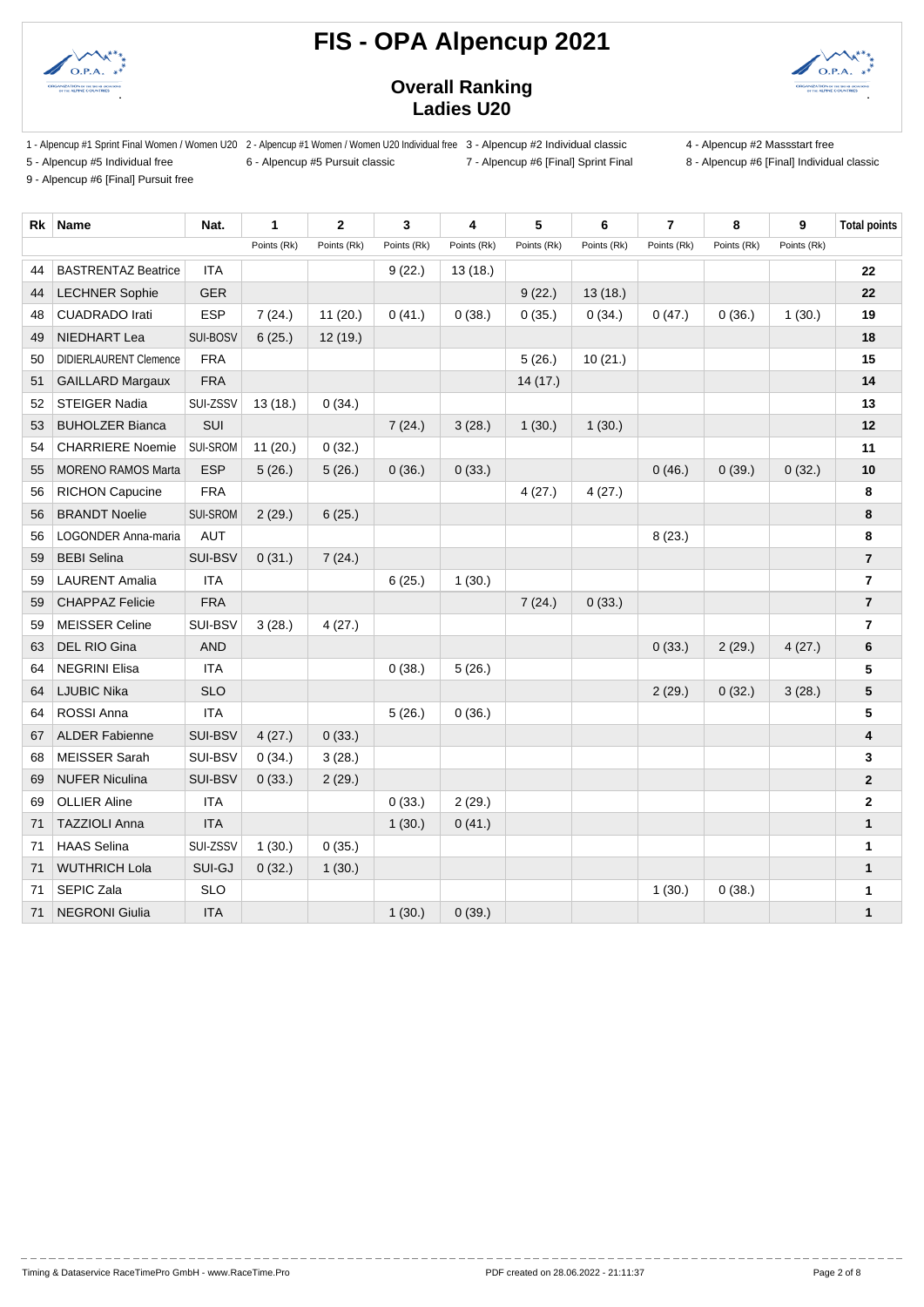



### **Overall Ranking Ladies U20**

1 - Alpencup #1 Sprint Final Women / Women U20 2 - Alpencup #1 Women / Women U20 Individual free 3 - Alpencup #2 Individual classic 4 - Alpencup #2 Massstart free

5 - Alpencup #5 Individual free 6 - Alpencup #5 Pursuit classic 7 - Alpencup #6 [Final] Sprint Final 8 - Alpencup #6 [Final] Individual classic

9 - Alpencup #6 [Final] Pursuit free

| yiuuai liee      | 0 - Alpericup |
|------------------|---------------|
| all Pursuit free |               |

| Rk | <b>Name</b>                   | Nat.       | 1           | $\overline{2}$ | 3           | 4           | 5           | 6           | $\overline{7}$ | 8           | 9           | <b>Total points</b> |
|----|-------------------------------|------------|-------------|----------------|-------------|-------------|-------------|-------------|----------------|-------------|-------------|---------------------|
|    |                               |            | Points (Rk) | Points (Rk)    | Points (Rk) | Points (Rk) | Points (Rk) | Points (Rk) | Points (Rk)    | Points (Rk) | Points (Rk) |                     |
| 44 | <b>BASTRENTAZ Beatrice</b>    | <b>ITA</b> |             |                | 9(22.)      | 13(18.)     |             |             |                |             |             | 22                  |
| 44 | <b>LECHNER Sophie</b>         | <b>GER</b> |             |                |             |             | 9(22.)      | 13(18.)     |                |             |             | 22                  |
| 48 | <b>CUADRADO Irati</b>         | <b>ESP</b> | 7(24.)      | 11(20.)        | 0(41.)      | 0(38.)      | 0(35.)      | 0(34.)      | 0(47.)         | 0(36.)      | 1(30.)      | 19                  |
| 49 | NIEDHART Lea                  | SUI-BOSV   | 6(25.)      | 12(19.)        |             |             |             |             |                |             |             | 18                  |
| 50 | <b>DIDIERLAURENT Clemence</b> | <b>FRA</b> |             |                |             |             | 5(26.)      | 10(21.)     |                |             |             | 15                  |
| 51 | <b>GAILLARD Margaux</b>       | <b>FRA</b> |             |                |             |             | 14 (17.)    |             |                |             |             | 14                  |
| 52 | STEIGER Nadia                 | SUI-ZSSV   | 13(18.)     | 0(34.)         |             |             |             |             |                |             |             | 13                  |
| 53 | <b>BUHOLZER Bianca</b>        | SUI        |             |                | 7(24.)      | 3(28.)      | 1(30.)      | 1(30.)      |                |             |             | 12                  |
| 54 | <b>CHARRIERE Noemie</b>       | SUI-SROM   | 11(20.)     | 0(32.)         |             |             |             |             |                |             |             | 11                  |
| 55 | <b>MORENO RAMOS Marta</b>     | <b>ESP</b> | 5(26.)      | 5(26.)         | 0(36.)      | 0(33.)      |             |             | 0(46.)         | 0(39.)      | 0(32.)      | 10                  |
| 56 | <b>RICHON Capucine</b>        | <b>FRA</b> |             |                |             |             | 4(27.)      | 4(27.)      |                |             |             | 8                   |
| 56 | <b>BRANDT Noelie</b>          | SUI-SROM   | 2(29.)      | 6(25.)         |             |             |             |             |                |             |             | 8                   |
| 56 | <b>LOGONDER Anna-maria</b>    | <b>AUT</b> |             |                |             |             |             |             | 8(23.)         |             |             | 8                   |
| 59 | <b>BEBI</b> Selina            | SUI-BSV    | 0(31.)      | 7(24.)         |             |             |             |             |                |             |             | $\overline{7}$      |
| 59 | <b>LAURENT Amalia</b>         | <b>ITA</b> |             |                | 6(25.)      | 1(30.)      |             |             |                |             |             | $\overline{7}$      |
| 59 | <b>CHAPPAZ Felicie</b>        | <b>FRA</b> |             |                |             |             | 7(24.)      | 0(33.)      |                |             |             | $\overline{7}$      |
| 59 | <b>MEISSER Celine</b>         | SUI-BSV    | 3(28.)      | 4(27.)         |             |             |             |             |                |             |             | $\overline{7}$      |
| 63 | DEL RIO Gina                  | <b>AND</b> |             |                |             |             |             |             | 0(33.)         | 2(29.)      | 4(27.)      | 6                   |
| 64 | <b>NEGRINI Elisa</b>          | <b>ITA</b> |             |                | 0(38.)      | 5(26.)      |             |             |                |             |             | 5                   |
| 64 | <b>LJUBIC Nika</b>            | <b>SLO</b> |             |                |             |             |             |             | 2(29.)         | 0(32.)      | 3(28.)      | 5                   |
| 64 | <b>ROSSI Anna</b>             | <b>ITA</b> |             |                | 5(26.)      | 0(36.)      |             |             |                |             |             | 5                   |
| 67 | <b>ALDER Fabienne</b>         | SUI-BSV    | 4(27.)      | 0(33.)         |             |             |             |             |                |             |             | 4                   |
| 68 | <b>MEISSER Sarah</b>          | SUI-BSV    | 0(34.)      | 3(28.)         |             |             |             |             |                |             |             | 3                   |
| 69 | <b>NUFER Niculina</b>         | SUI-BSV    | 0(33.)      | 2(29.)         |             |             |             |             |                |             |             | $\mathbf{2}$        |
| 69 | <b>OLLIER Aline</b>           | <b>ITA</b> |             |                | 0(33.)      | 2(29.)      |             |             |                |             |             | $\mathbf 2$         |
| 71 | <b>TAZZIOLI Anna</b>          | <b>ITA</b> |             |                | 1(30.)      | 0(41.)      |             |             |                |             |             | $\mathbf{1}$        |
| 71 | <b>HAAS Selina</b>            | SUI-ZSSV   | 1(30.)      | 0(35.)         |             |             |             |             |                |             |             | $\mathbf{1}$        |
| 71 | <b>WUTHRICH Lola</b>          | SUI-GJ     | 0(32.)      | 1(30.)         |             |             |             |             |                |             |             | $\mathbf{1}$        |
| 71 | SEPIC Zala                    | <b>SLO</b> |             |                |             |             |             |             | 1(30.)         | 0(38.)      |             | 1                   |
| 71 | <b>NEGRONI Giulia</b>         | <b>ITA</b> |             |                | 1(30.)      | 0(39.)      |             |             |                |             |             | $\mathbf{1}$        |

--------------------

\_\_\_\_\_\_\_\_\_\_\_\_\_\_\_\_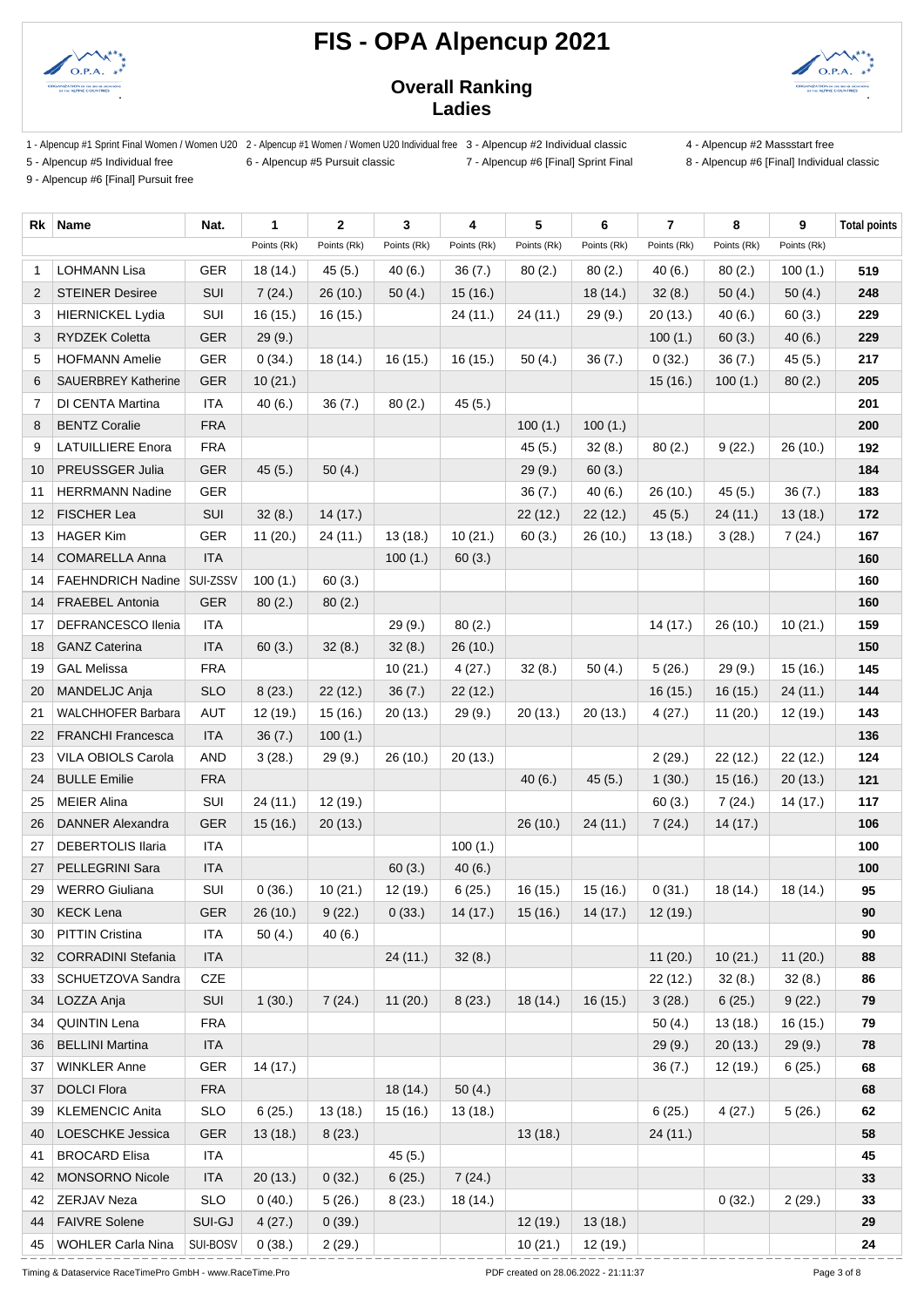



### **Overall Ranking Ladies**

- 1 Alpencup #1 Sprint Final Women / Women U20 2 Alpencup #1 Women / Women U20 Individual free 3 Alpencup #2 Individual classic 4 Alpencup #2 Massstart free
- 5 Alpencup #5 Individual free 6 Alpencup #5 Pursuit classic 7 Alpencup #6 [Final] Sprint Final 8 Alpencup #6 [Final] Individual classic
- 

9 - Alpencup #6 [Final] Pursuit free

| Rk                | Name                       | Nat.        | 1           | $\mathbf{2}$      | 3           | 4                   | 5           | 6                 | $\overline{7}$ | 8           | 9           | <b>Total points</b> |
|-------------------|----------------------------|-------------|-------------|-------------------|-------------|---------------------|-------------|-------------------|----------------|-------------|-------------|---------------------|
|                   |                            |             | Points (Rk) | Points (Rk)       | Points (Rk) | Points (Rk)         | Points (Rk) | Points (Rk)       | Points (Rk)    | Points (Rk) | Points (Rk) |                     |
| -1                | <b>LOHMANN Lisa</b>        | <b>GER</b>  | 18 (14.)    | 45(5.)            | 40(6.)      | 36(7.)              | 80(2.)      | 80(2.)            | 40(6.)         | 80(2.)      | 100(1.)     | 519                 |
| 2                 | <b>STEINER Desiree</b>     | SUI         | 7(24.)      | 26(10.)           | 50(4.)      | 15(16.)             |             | 18 (14.)          | 32(8.)         | 50(4.)      | 50(4.)      | 248                 |
| 3                 | <b>HIERNICKEL Lydia</b>    | SUI         | 16 (15.)    | 16(15.)           |             | 24 (11.)            | 24(11)      | 29 (9.)           | 20(13.)        | 40(6.)      | 60(3.)      | 229                 |
| 3                 | <b>RYDZEK Coletta</b>      | <b>GER</b>  | 29(9.)      |                   |             |                     |             |                   | 100(1.)        | 60(3.)      | 40(6.)      | 229                 |
| 5                 | <b>HOFMANN Amelie</b>      | GER         | 0(34.)      | 18 (14.)          | 16 (15.)    | 16 (15.)            | 50(4.)      | 36(7.)            | 0(32.)         | 36(7.)      | 45(5.)      | 217                 |
| 6                 | <b>SAUERBREY Katherine</b> | <b>GER</b>  | 10(21.)     |                   |             |                     |             |                   | 15(16.)        | 100(1.)     | 80(2.)      | 205                 |
| 7                 | DI CENTA Martina           | <b>ITA</b>  | 40(6.)      | 36(7.)            | 80(2.)      | 45(5.)              |             |                   |                |             |             | 201                 |
| 8                 | <b>BENTZ Coralie</b>       | <b>FRA</b>  |             |                   |             |                     | 100(1.)     | 100(1.)           |                |             |             | 200                 |
| 9                 | <b>LATUILLIERE Enora</b>   | <b>FRA</b>  |             |                   |             |                     | 45(5.)      | 32(8.)            | 80(2.)         | 9(22.)      | 26(10.)     | 192                 |
| 10                | PREUSSGER Julia            | <b>GER</b>  | 45(5.)      | 50(4.)            |             |                     | 29(9.)      | 60(3.)            |                |             |             | 184                 |
| 11                | <b>HERRMANN Nadine</b>     | <b>GER</b>  |             |                   |             |                     | 36(7.)      | 40(6.)            | 26(10.)        | 45(5.)      | 36(7.)      | 183                 |
| $12 \overline{ }$ | <b>FISCHER Lea</b>         | SUI         | 32(8.)      | 14(17.)           |             |                     | 22(12.)     | 22(12.)           | 45(5.)         | 24 (11.)    | 13(18.)     | 172                 |
| 13                | <b>HAGER Kim</b>           | <b>GER</b>  | 11(20.)     | 24 (11.)          | 13(18.)     | 10(21.)             | 60(3.)      | 26(10.)           | 13(18.)        | 3(28.)      | 7(24.)      | 167                 |
| 14                | <b>COMARELLA Anna</b>      | <b>ITA</b>  |             |                   | 100(1.)     | 60(3.)              |             |                   |                |             |             | 160                 |
| 14                | <b>FAEHNDRICH Nadine</b>   | SUI-ZSSV    | 100(1.)     | 60(3.)            |             |                     |             |                   |                |             |             | 160                 |
| 14                | <b>FRAEBEL Antonia</b>     | <b>GER</b>  | 80(2.)      | 80(2.)            |             |                     |             |                   |                |             |             | 160                 |
| 17                | <b>DEFRANCESCO Ilenia</b>  | ITA         |             |                   | 29(9.)      | 80(2.)              |             |                   | 14(17.)        | 26(10.)     | 10(21.)     | 159                 |
| 18                | <b>GANZ Caterina</b>       | <b>ITA</b>  | 60(3.)      | 32(8.)            | 32(8.)      | 26 (10.)            |             |                   |                |             |             | 150                 |
| 19                | <b>GAL Melissa</b>         | <b>FRA</b>  |             |                   | 10(21.)     | 4(27.)              | 32(8.)      | 50(4.)            | 5(26.)         | 29(9.)      | 15(16.)     | 145                 |
| 20                | MANDELJC Anja              | <b>SLO</b>  | 8(23.)      | 22(12.)           | 36(7.)      | 22(12.)             |             |                   | 16(15.)        | 16(15.)     | 24(11.)     | 144                 |
| 21                | <b>WALCHHOFER Barbara</b>  | AUT         | 12 (19.)    | 15(16.)           | 20(13.)     | 29(9.)              | 20(13.)     | 20(13.)           | 4(27.)         | 11(20.)     | 12 (19.)    | 143                 |
| 22                | <b>FRANCHI Francesca</b>   | <b>ITA</b>  | 36(7.)      | 100(1.)           |             |                     |             |                   |                |             |             | 136                 |
| 23                | VILA OBIOLS Carola         | AND         | 3(28.)      | 29(9.)            | 26(10.)     | 20(13.)             |             |                   | 2(29.)         | 22 (12.)    | 22(12.)     | 124                 |
| 24                | <b>BULLE Emilie</b>        | <b>FRA</b>  |             |                   |             |                     | 40(6.)      | 45(5.)            | 1(30.)         | 15(16.)     | 20(13.)     | 121                 |
| 25                | <b>MEIER Alina</b>         | SUI         | 24(11)      | 12 (19.)          |             |                     |             |                   | 60(3.)         | 7(24.)      | 14 (17.)    | 117                 |
| 26                | <b>DANNER Alexandra</b>    | <b>GER</b>  | 15(16.)     | 20(13.)           |             |                     | 26(10.)     | 24 (11.)          | 7(24.)         | 14(17.)     |             | 106                 |
| 27                | <b>DEBERTOLIS Ilaria</b>   | <b>ITA</b>  |             |                   |             | 100(1.)             |             |                   |                |             |             | 100                 |
| 27                | PELLEGRINI Sara            | <b>ITA</b>  |             |                   | 60(3.)      | 40(6.)              |             |                   |                |             |             | 100                 |
| 29                | <b>WERRO Giuliana</b>      | SUI         | 0(36.)      | 10(21.)           | 12 (19.)    | 6(25.)              | 16 (15.)    | 15(16.)           | 0(31.)         | 18(14.)     | 18 (14.)    | 95                  |
| 30                | <b>KECK Lena</b>           | ${\tt GER}$ |             | $26(10.)$ 9 (22.) | 0(33.)      | 14 (17.)   15 (16.) |             | $14(17.)$ 12(19.) |                |             |             | $90\,$              |
| 30                | <b>PITTIN Cristina</b>     | ITA         | 50(4.)      | 40(6.)            |             |                     |             |                   |                |             |             | 90                  |
| 32                | <b>CORRADINI Stefania</b>  | <b>ITA</b>  |             |                   | 24(11)      | 32(8.)              |             |                   | 11(20.)        | 10(21.)     | 11(20.)     | 88                  |
| 33                | SCHUETZOVA Sandra          | CZE         |             |                   |             |                     |             |                   | 22 (12.)       | 32(8.)      | 32(8.)      | 86                  |
| 34                | LOZZA Anja                 | SUI         | 1(30.)      | 7(24.)            | 11(20.)     | 8(23.)              | 18 (14.)    | 16(15.)           | 3(28.)         | 6(25.)      | 9(22.)      | 79                  |
| 34                | <b>QUINTIN Lena</b>        | <b>FRA</b>  |             |                   |             |                     |             |                   | 50(4.)         | 13(18.)     | 16 (15.)    | 79                  |
| 36                | <b>BELLINI Martina</b>     | <b>ITA</b>  |             |                   |             |                     |             |                   | 29(9.)         | 20(13.)     | 29(9.)      | 78                  |
| 37                | <b>WINKLER Anne</b>        | <b>GER</b>  | 14 (17.)    |                   |             |                     |             |                   | 36(7.)         | 12 (19.)    | 6(25.)      | 68                  |
| 37                | <b>DOLCI</b> Flora         | <b>FRA</b>  |             |                   | 18 (14.)    | 50(4.)              |             |                   |                |             |             | 68                  |
| 39                | <b>KLEMENCIC Anita</b>     | <b>SLO</b>  | 6(25.)      | 13(18.)           | 15 (16.)    | 13(18.)             |             |                   | 6(25.)         | 4(27.)      | 5(26.)      | 62                  |
| 40                | LOESCHKE Jessica           | GER         | 13(18.)     | 8(23.)            |             |                     | 13(18.)     |                   | 24 (11.)       |             |             | 58                  |
| 41                | <b>BROCARD Elisa</b>       | ITA         |             |                   | 45(5.)      |                     |             |                   |                |             |             | 45                  |
| 42                | MONSORNO Nicole            | <b>ITA</b>  | 20(13.)     | 0(32.)            | 6(25.)      | 7(24.)              |             |                   |                |             |             | 33                  |
| 42                | ZERJAV Neza                | <b>SLO</b>  | 0(40.)      | 5(26.)            | 8(23.)      | 18 (14.)            |             |                   |                | 0(32.)      | 2(29.)      | 33                  |
| 44                | <b>FAIVRE Solene</b>       | SUI-GJ      | 4(27.)      | 0(39.)            |             |                     | 12 (19.)    | 13(18.)           |                |             |             | 29                  |
| 45                | <b>WOHLER Carla Nina</b>   | SUI-BOSV    | 0(38.)      | 2(29.)            |             |                     | 10(21.)     | 12 (19.)          |                |             |             | 24                  |

Timing & Dataservice RaceTimePro GmbH - www.RaceTime.Pro Page 3 of 8 PDF created on 28.06.2022 - 21:11:37 Page 3 of 8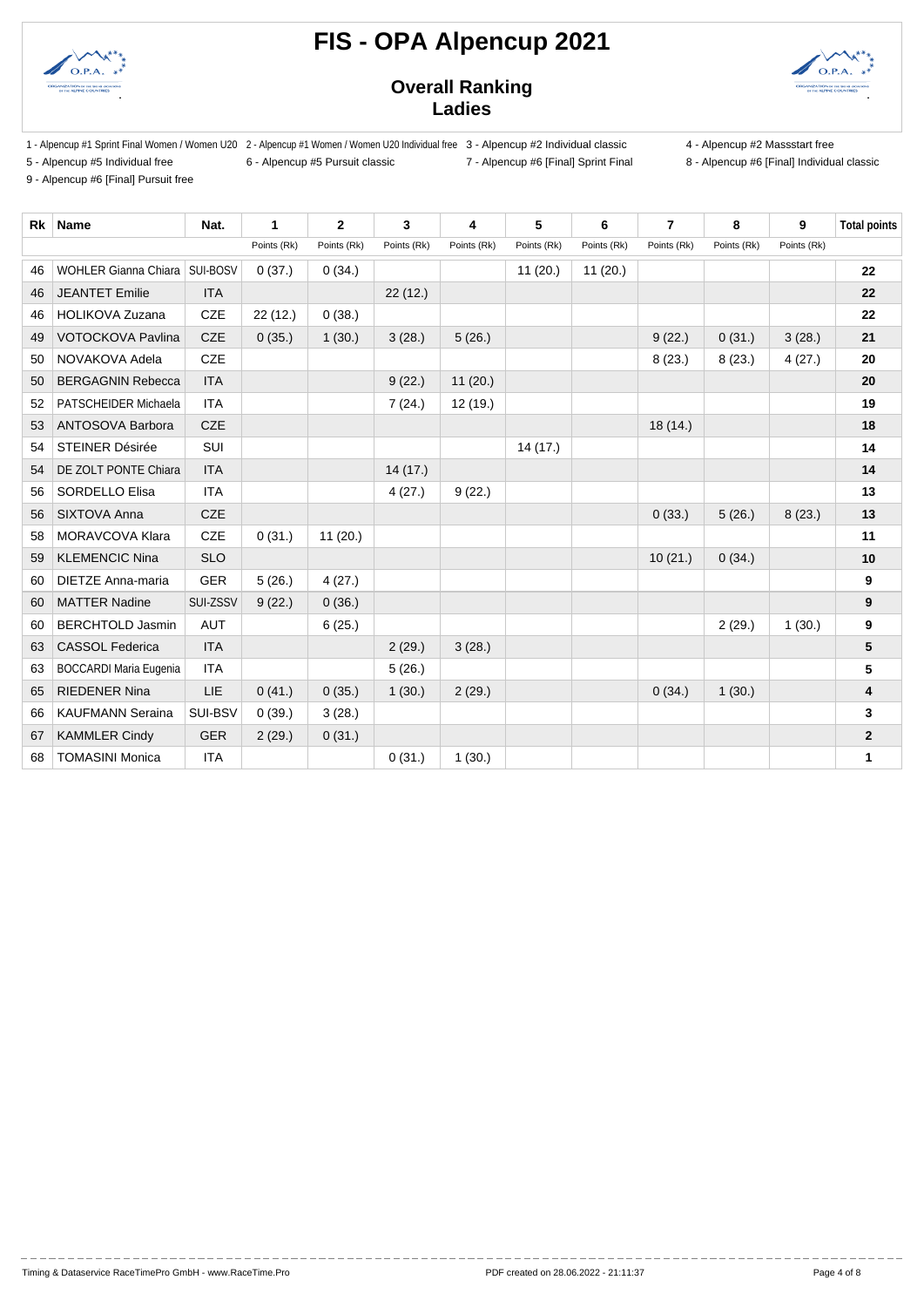



### **Overall Ranking Ladies**

- 1 Alpencup #1 Sprint Final Women / Women U20 2 Alpencup #1 Women / Women U20 Individual free 3 Alpencup #2 Individual classic 4 Alpencup #2 Massstart free
- 5 Alpencup #5 Individual free 6 Alpencup #5 Pursuit classic 7 Alpencup #6 [Final] Sprint Final 8 Alpencup #6 [Final] Individual classic
- 

9 - Alpencup #6 [Final] Pursuit free

**Rk Name Nat. 1 2 3 4 5 6 7 8 9 Total points** Points (Rk) Points (Rk) Points (Rk) Points (Rk) Points (Rk) Points (Rk) Points (Rk) Points (Rk) Points (Rk) WOHLER Gianna Chiara SUI-BOSV 0 (37.) 0 (34.) 11 (20.) 11 (20.) **22** JEANTET Emilie ITA 22 (12.) **22** HOLIKOVA Zuzana CZE 22 (12.) 0 (38.) **22** VOTOCKOVA Pavlina CZE 0 (35.) 1 (30.) 3 (28.) 5 (26.) 9 (22.) 0 (31.) 3 (28.) **21** NOVAKOVA Adela CZE 8 (23.) 8 (23.) 4 (27.) **20** BERGAGNIN Rebecca ITA 9 (22.) 11 (20.) **20** PATSCHEIDER Michaela ITA 7 (24.) 12 (19.) **19** 53 ANTOSOVA Barbora CZE **18 (14.)** 18 (14.) **18**  STEINER Désirée SUI 14 (17.) **14** DE ZOLT PONTE Chiara ITA 14 (17.) **14** SORDELLO Elisa ITA 4 (27.) 9 (22.) **13** SIXTOVA Anna CZE 0 (33.) 5 (26.) 8 (23.) **13** MORAVCOVA Klara CZE 0 (31.) 11 (20.) **11** KLEMENCIC Nina SLO 10 (21.) 0 (34.) **10** DIETZE Anna-maria GER 5 (26.) 4 (27.) **9** MATTER Nadine SUI-ZSSV 9 (22.) 0 (36.) **9** BERCHTOLD Jasmin AUT 6 (25.) 2 (29.) 1 (30.) **9** CASSOL Federica ITA 2 (29.) 3 (28.) **5** BOCCARDI Maria Eugenia ITA 5 (26.) **5** RIEDENER Nina LIE 0 (41.) 0 (35.) 1 (30.) 2 (29.) 0 (34.) 1 (30.) **4** KAUFMANN Seraina SUI-BSV 0 (39.) 3 (28.) **3** KAMMLER Cindy GER 2 (29.) 0 (31.) **2** TOMASINI Monica ITA 0 (31.) 1 (30.) **1**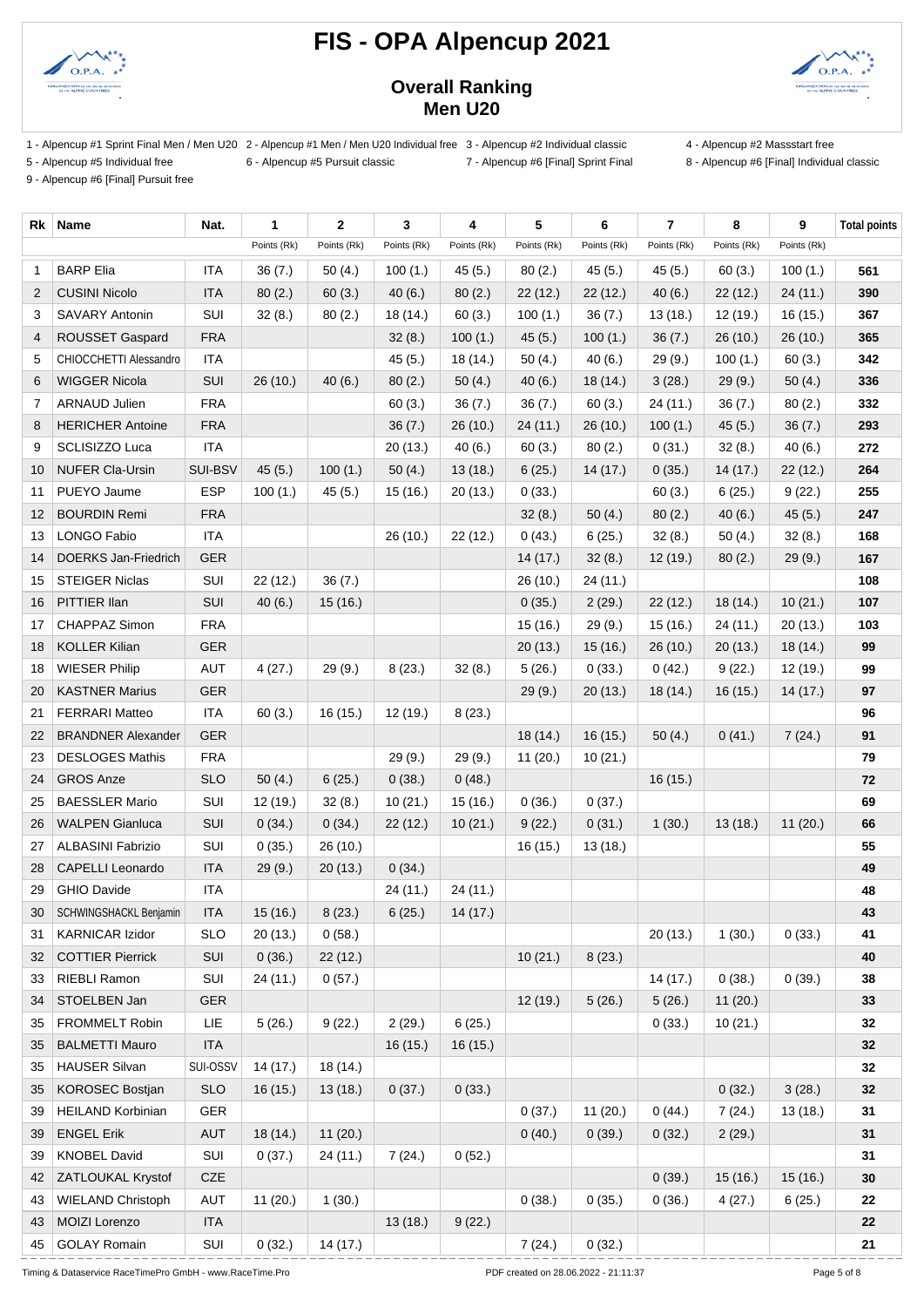



### **Overall Ranking Men U20**

- 1 Alpencup #1 Sprint Final Men / Men U20 2 Alpencup #1 Men / Men U20 Individual free 3 Alpencup #2 Individual classic 4 Alpencup #2 Massstart free
- 5 Alpencup #5 Individual free 6 Alpencup #5 Pursuit classic 7 Alpencup #6 [Final] Sprint Final 8 Alpencup #6 [Final] Individual classic

9 - Alpencup #6 [Final] Pursuit free

| Rk              | Name                      | Nat.       | 1           | $\mathbf 2$ | 3           | 4           | 5           | 6           | $\overline{7}$ | 8           | 9           | <b>Total points</b> |
|-----------------|---------------------------|------------|-------------|-------------|-------------|-------------|-------------|-------------|----------------|-------------|-------------|---------------------|
|                 |                           |            | Points (Rk) | Points (Rk) | Points (Rk) | Points (Rk) | Points (Rk) | Points (Rk) | Points (Rk)    | Points (Rk) | Points (Rk) |                     |
| 1               | <b>BARP Elia</b>          | <b>ITA</b> | 36(7.)      | 50(4.)      | 100(1.)     | 45(5.)      | 80(2.)      | 45(5.)      | 45(5.)         | 60(3.)      | 100(1.)     | 561                 |
| $\overline{2}$  | <b>CUSINI Nicolo</b>      | <b>ITA</b> | 80(2.)      | 60(3.)      | 40(6.)      | 80(2.)      | 22(12.)     | 22(12.)     | 40(6.)         | 22(12.)     | 24 (11.)    | 390                 |
| 3               | <b>SAVARY Antonin</b>     | SUI        | 32(8.)      | 80(2.)      | 18 (14.)    | 60(3.)      | 100(1.)     | 36(7.)      | 13(18.)        | 12 (19.)    | 16 (15.)    | 367                 |
| 4               | ROUSSET Gaspard           | <b>FRA</b> |             |             | 32(8.)      | 100(1.)     | 45(5.)      | 100(1.)     | 36(7.)         | 26 (10.)    | 26 (10.)    | 365                 |
| 5               | CHIOCCHETTI Alessandro    | ITA        |             |             | 45(5.)      | 18 (14.)    | 50(4.)      | 40(6.)      | 29(9.)         | 100(1.)     | 60(3.)      | 342                 |
| 6               | <b>WIGGER Nicola</b>      | SUI        | 26(10.)     | 40(6.)      | 80(2.)      | 50(4.)      | 40(6.)      | 18(14.)     | 3(28.)         | 29(9.)      | 50(4.)      | 336                 |
| 7               | <b>ARNAUD Julien</b>      | <b>FRA</b> |             |             | 60(3.)      | 36(7.)      | 36(7.)      | 60(3.)      | 24 (11.)       | 36(7.)      | 80(2.)      | 332                 |
| 8               | <b>HERICHER Antoine</b>   | <b>FRA</b> |             |             | 36(7.)      | 26 (10.)    | 24 (11.)    | 26(10.)     | 100(1.)        | 45(5.)      | 36(7.)      | 293                 |
| 9               | SCLISIZZO Luca            | <b>ITA</b> |             |             | 20(13.)     | 40(6.)      | 60(3.)      | 80(2.)      | 0(31.)         | 32(8.)      | 40(6.)      | 272                 |
| 10              | <b>NUFER Cla-Ursin</b>    | SUI-BSV    | 45(5.)      | 100(1.)     | 50(4.)      | 13(18.)     | 6(25.)      | 14(17.)     | 0(35.)         | 14 (17.)    | 22 (12.)    | 264                 |
| 11              | PUEYO Jaume               | <b>ESP</b> | 100(1.)     | 45(5.)      | 15 (16.)    | 20(13.)     | 0(33.)      |             | 60(3.)         | 6(25.)      | 9(22.)      | 255                 |
| 12              | <b>BOURDIN Remi</b>       | <b>FRA</b> |             |             |             |             | 32(8.)      | 50(4.)      | 80(2.)         | 40(6.)      | 45(5.)      | 247                 |
| 13              | <b>LONGO Fabio</b>        | <b>ITA</b> |             |             | 26 (10.)    | 22 (12.)    | 0(43.)      | 6(25.)      | 32(8.)         | 50(4.)      | 32(8.)      | 168                 |
| 14              | DOERKS Jan-Friedrich      | <b>GER</b> |             |             |             |             | 14(17.)     | 32(8.)      | 12 (19.)       | 80(2.)      | 29(9.)      | 167                 |
| 15              | <b>STEIGER Niclas</b>     | SUI        | 22 (12.)    | 36(7.)      |             |             | 26(10.)     | 24 (11.)    |                |             |             | 108                 |
| 16              | PITTIER Ilan              | SUI        | 40(6.)      | 15(16.)     |             |             | 0(35.)      | 2(29.)      | 22(12.)        | 18(14.)     | 10(21.)     | 107                 |
| 17              | CHAPPAZ Simon             | <b>FRA</b> |             |             |             |             | 15(16.)     | 29(9.)      | 15 (16.)       | 24 (11.)    | 20 (13.)    | 103                 |
| 18              | <b>KOLLER Kilian</b>      | <b>GER</b> |             |             |             |             | 20(13.)     | 15(16.)     | 26(10.)        | 20(13.)     | 18 (14.)    | 99                  |
| 18              | <b>WIESER Philip</b>      | <b>AUT</b> | 4(27.)      | 29(9.)      | 8(23.)      | 32(8.)      | 5(26.)      | 0(33.)      | 0(42.)         | 9(22.)      | 12 (19.)    | 99                  |
| 20              | <b>KASTNER Marius</b>     | <b>GER</b> |             |             |             |             | 29(9.)      | 20(13.)     | 18 (14.)       | 16(15.)     | 14 (17.)    | 97                  |
| 21              | <b>FERRARI Matteo</b>     | <b>ITA</b> | 60(3.)      | 16(15.)     | 12 (19.)    | 8(23.)      |             |             |                |             |             | 96                  |
| 22              | <b>BRANDNER Alexander</b> | <b>GER</b> |             |             |             |             | 18(14.)     | 16(15.)     | 50(4.)         | 0(41.)      | 7(24.)      | 91                  |
| 23              | <b>DESLOGES Mathis</b>    | <b>FRA</b> |             |             | 29(9.)      | 29(9.)      | 11(20.)     | 10(21.)     |                |             |             | 79                  |
| 24              | <b>GROS Anze</b>          | <b>SLO</b> | 50(4.)      | 6(25.)      | 0(38.)      | 0(48.)      |             |             | 16(15.)        |             |             | 72                  |
| 25              | <b>BAESSLER Mario</b>     | SUI        | 12 (19.)    | 32(8.)      | 10(21.)     | 15 (16.)    | 0(36.)      | 0(37.)      |                |             |             | 69                  |
| 26              | <b>WALPEN Gianluca</b>    | SUI        | 0(34.)      | 0(34.)      | 22(12.)     | 10(21.)     | 9(22.)      | 0(31.)      | 1(30.)         | 13(18.)     | 11(20.)     | 66                  |
| 27              | <b>ALBASINI Fabrizio</b>  | SUI        | 0(35.)      | 26 (10.)    |             |             | 16 (15.)    | 13(18.)     |                |             |             | 55                  |
| 28              | <b>CAPELLI Leonardo</b>   | <b>ITA</b> | 29(9.)      | 20(13.)     | 0(34.)      |             |             |             |                |             |             | 49                  |
| 29              | GHIO Davide               | <b>ITA</b> |             |             | 24 (11.)    | 24 (11.)    |             |             |                |             |             | 48                  |
| 30 <sup>°</sup> | SCHWINGSHACKL Benjamin    | <b>ITA</b> | 15(16.)     | 8(23.)      | 6(25.)      | 14(17.)     |             |             |                |             |             | 43                  |
| 31              | <b>KARNICAR Izidor</b>    | <b>SLO</b> | 20 (13.)    | 0(58.)      |             |             |             |             | 20(13.)        | 1(30.)      | 0(33.)      | 41                  |
| 32              | <b>COTTIER Pierrick</b>   | SUI        | 0(36.)      | 22(12.)     |             |             | 10(21.)     | 8(23.)      |                |             |             | 40                  |
| 33              | RIEBLI Ramon              | SUI        | 24 (11.)    | 0(57.)      |             |             |             |             | 14 (17.)       | 0(38.)      | 0(39.)      | 38                  |
| 34              | STOELBEN Jan              | GER        |             |             |             |             | 12(19.)     | 5(26.)      | 5(26.)         | 11(20.)     |             | 33                  |
| 35              | <b>FROMMELT Robin</b>     | LIE        | 5(26.)      | 9(22.)      | 2(29.)      | 6(25.)      |             |             | 0(33.)         | 10(21.)     |             | 32                  |
| 35              | <b>BALMETTI Mauro</b>     | <b>ITA</b> |             |             | 16(15.)     | 16 (15.)    |             |             |                |             |             | $32\,$              |
| 35              | <b>HAUSER Silvan</b>      | SUI-OSSV   | 14 (17.)    | 18 (14.)    |             |             |             |             |                |             |             | 32                  |
| 35              | <b>KOROSEC Bostjan</b>    | <b>SLO</b> | 16(15.)     | 13(18.)     | 0(37.)      | 0(33.)      |             |             |                | 0(32.)      | 3(28.)      | 32                  |
| 39              | <b>HEILAND Korbinian</b>  | <b>GER</b> |             |             |             |             | 0(37.)      | 11(20.)     | 0(44.)         | 7(24.)      | 13(18.)     | 31                  |
| 39              | <b>ENGEL Erik</b>         | AUT        | 18 (14.)    | 11(20.)     |             |             | 0(40.)      | 0(39.)      | 0(32.)         | 2(29.)      |             | 31                  |
| 39              | <b>KNOBEL David</b>       | SUI        | 0(37.)      | 24 (11.)    | 7(24.)      | 0(52.)      |             |             |                |             |             | 31                  |
| 42              | ZATLOUKAL Krystof         | CZE        |             |             |             |             |             |             | 0(39.)         | 15(16.)     | 15(16.)     | $\bf{30}$           |
| 43              | <b>WIELAND Christoph</b>  | AUT        | 11(20.)     | 1(30.)      |             |             | 0(38.)      | 0(35.)      | 0(36.)         | 4(27.)      | 6(25.)      | 22                  |
| 43              | MOIZI Lorenzo             | <b>ITA</b> |             |             | 13 (18.)    | 9(22.)      |             |             |                |             |             | ${\bf 22}$          |
| 45              | <b>GOLAY Romain</b>       | SUI        | 0(32.)      | 14(17.)     |             |             | 7(24.)      | 0(32.)      |                |             |             | 21                  |

Timing & Dataservice RaceTimePro GmbH - www.RaceTime.Pro Page 5 of 8 PDF created on 28.06.2022 - 21:11:37 Page 5 of 8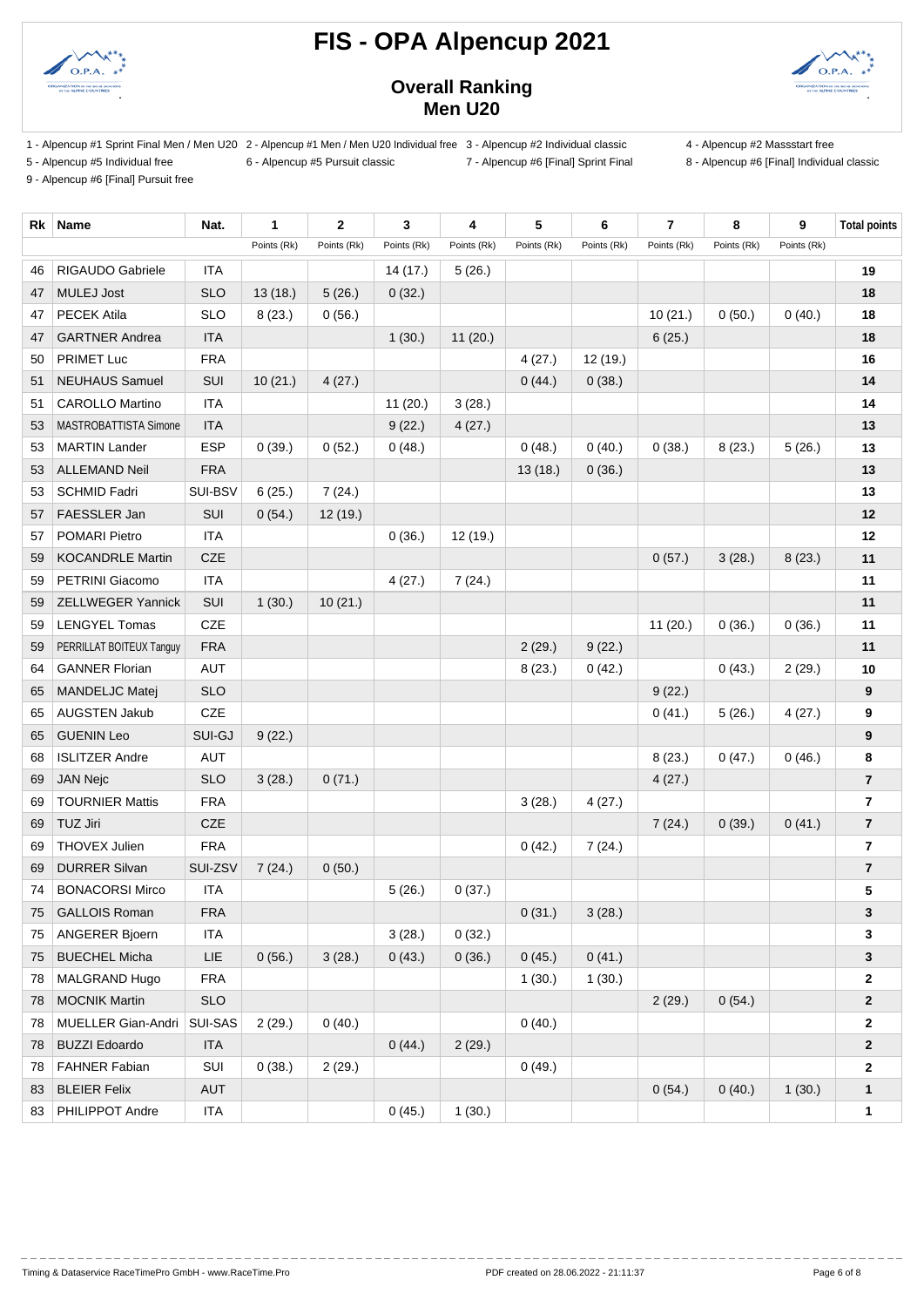



### **Overall Ranking Men U20**

- 1 Alpencup #1 Sprint Final Men / Men U20 2 Alpencup #1 Men / Men U20 Individual free 3 Alpencup #2 Individual classic 4 Alpencup #2 Massstart free
- 5 Alpencup #5 Individual free 6 Alpencup #5 Pursuit classic 7 Alpencup #6 [Final] Sprint Final 8 Alpencup #6 [Final] Individual classic
- 

9 - Alpencup #6 [Final] Pursuit free

**Rk Name Nat. 1 2 3 4 5 6 7 8 9 Total points** Points (Rk) Points (Rk) Points (Rk) Points (Rk) Points (Rk) Points (Rk) Points (Rk) Points (Rk) Points (Rk) RIGAUDO Gabriele ITA 14 (17.) 5 (26.) **19** MULEJ Jost SLO 13 (18.) 5 (26.) 0 (32.) **18** PECEK Atila SLO 8 (23.) 0 (56.) 10 (21.) 0 (50.) 0 (40.) **18** GARTNER Andrea ITA 1 (30.) 11 (20.) 6 (25.) **18** PRIMET Luc FRA 4 (27.) 12 (19.) **16** NEUHAUS Samuel SUI 10 (21.) 4 (27.) 0 (44.) 0 (38.) **14** CAROLLO Martino ITA 11 (20.) 3 (28.) **14** MASTROBATTISTA Simone ITA 9 (22.) 4 (27.) **13** MARTIN Lander ESP 0 (39.) 0 (52.) 0 (48.) 0 (48.) 0 (40.) 0 (38.) 8 (23.) 5 (26.) **13** ALLEMAND Neil FRA 13 (18.) 0 (36.) **13** SCHMID Fadri SUI-BSV 6 (25.) 7 (24.) **13** FAESSLER Jan SUI 0 (54.) 12 (19.) **12** POMARI Pietro ITA 0 (36.) 12 (19.) **12** KOCANDRLE Martin CZE 0 (57.) 3 (28.) 8 (23.) **11** PETRINI Giacomo ITA 4 (27.) 7 (24.) **11** ZELLWEGER Yannick SUI 1 (30.) 10 (21.) **11** LENGYEL Tomas CZE 11 (20.) 0 (36.) 0 (36.) **11** PERRILLAT BOITEUX Tanguy FRA 2 (29.) 9 (22.) **11** GANNER Florian AUT 8 (23.) 0 (42.) 0 (43.) 2 (29.) **10** MANDELJC Matej SLO 9 (22.) **9** AUGSTEN Jakub CZE 0 (41.) 5 (26.) 4 (27.) **9** GUENIN Leo SUI-GJ 9 (22.) **9** ISLITZER Andre AUT 8 (23.) 0 (47.) 0 (46.) **8** JAN Nejc SLO 3 (28.) 0 (71.) 4 (27.) **7** TOURNIER Mattis FRA 3 (28.) 4 (27.) **7** TUZ Jiri CZE 7 (24.) 0 (39.) 0 (41.) **7** THOVEX Julien FRA 0 (42.) 7 (24.) **7** DURRER Silvan SUI-ZSV 7 (24.) 0 (50.) **7** BONACORSI Mirco ITA 5 (26.) 0 (37.) **5** GALLOIS Roman FRA 0 (31.) 3 (28.) **3** ANGERER Bjoern ITA 3 (28.) 0 (32.) **3** BUECHEL Micha LIE 0 (56.) 3 (28.) 0 (43.) 0 (36.) 0 (45.) 0 (41.) **3** MALGRAND Hugo FRA 1 (30.) 1 (30.) **2** MOCNIK Martin SLO 2 (29.) 0 (54.) **2** MUELLER Gian-Andri SUI-SAS 2 (29.) 0 (40.) 0 (40.) **2** BUZZI Edoardo ITA 0 (44.) 2 (29.) **2** FAHNER Fabian SUI 0 (38.) 2 (29.) 0 (49.) **2** BLEIER Felix AUT 0 (54.) 0 (40.) 1 (30.) **1** 83 PHILIPPOT Andre ITA 1 (30.) 1 (30.) 1 (30.) **1**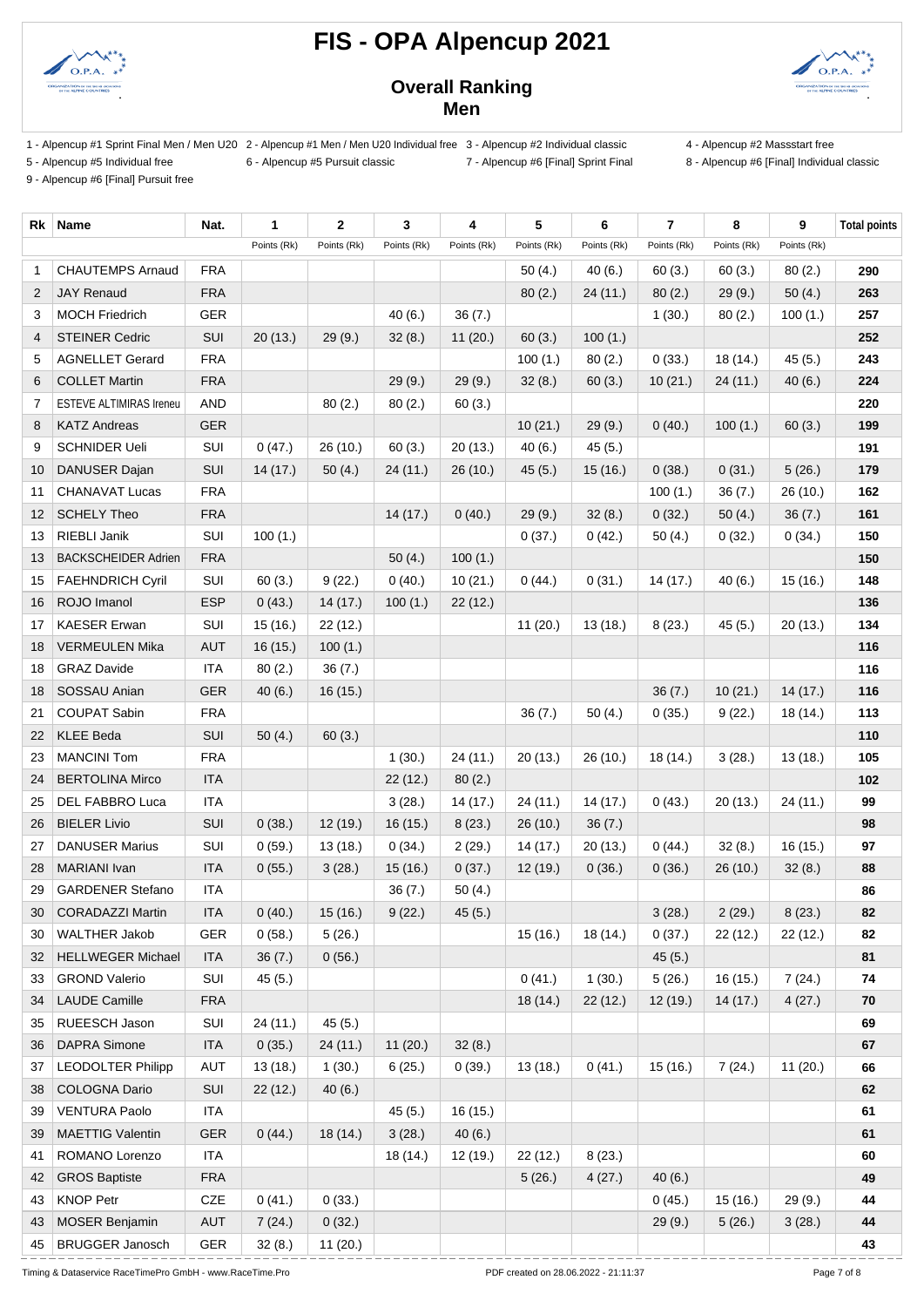



### **Overall Ranking Men**

- 1 Alpencup #1 Sprint Final Men / Men U20 2 Alpencup #1 Men / Men U20 Individual free 3 Alpencup #2 Individual classic 4 Alpencup #2 Massstart free
- 5 Alpencup #5 Individual free 6 Alpencup #5 Pursuit classic 7 Alpencup #6 [Final] Sprint Final 8 Alpencup #6 [Final] Individual classic
- 

9 - Alpencup #6 [Final] Pursuit free

**Rk Name Nat. 1 2 3 4 5 6 7 8 9 Total points** Points (Rk) Points (Rk) Points (Rk) Points (Rk) Points (Rk) Points (Rk) Points (Rk) Points (Rk) Points (Rk) CHAUTEMPS Arnaud FRA 50 (4.) 40 (6.) 60 (3.) 60 (3.) 80 (2.) **290** JAY Renaud FRA 80 (2.) 24 (11.) 80 (2.) 29 (9.) 50 (4.) **263** MOCH Friedrich GER 40 (6.) 36 (7.) 1 (30.) 80 (2.) 100 (1.) **257** STEINER Cedric SUI 20 (13.) 29 (9.) 32 (8.) 11 (20.) 60 (3.) 100 (1.) **252** AGNELLET Gerard FRA 100 (1.) 80 (2.) 0 (33.) 18 (14.) 45 (5.) **243** COLLET Martin FRA 29 (9.) 29 (9.) 32 (8.) 60 (3.) 10 (21.) 24 (11.) 40 (6.) **224** ESTEVE ALTIMIRAS Ireneu AND 80 (2.) 80 (2.) 60 (3.) **220** KATZ Andreas GER 10 (21.) 29 (9.) 0 (40.) 100 (1.) 60 (3.) **199** SCHNIDER Ueli SUI 0 (47.) 26 (10.) 60 (3.) 20 (13.) 40 (6.) 45 (5.) **191** DANUSER Dajan SUI 14 (17.) 50 (4.) 24 (11.) 26 (10.) 45 (5.) 15 (16.) 0 (38.) 0 (31.) 5 (26.) **179** CHANAVAT Lucas FRA 100 (1.) 36 (7.) 26 (10.) **162** SCHELY Theo FRA 14 (17.) 0 (40.) 29 (9.) 32 (8.) 0 (32.) 50 (4.) 36 (7.) **161** RIEBLI Janik SUI 100 (1.) 0 (37.) 0 (42.) 50 (4.) 0 (32.) 0 (34.) **150** 13 BACKSCHEIDER Adrien FRA 150 (4.) 100 (1.) **100 (1.) 100 (1.) 150**  FAEHNDRICH Cyril SUI 60 (3.) 9 (22.) 0 (40.) 10 (21.) 0 (44.) 0 (31.) 14 (17.) 40 (6.) 15 (16.) **148** ROJO Imanol ESP 0 (43.) 14 (17.) 100 (1.) 22 (12.) **136** KAESER Erwan SUI 15 (16.) 22 (12.) 11 (20.) 13 (18.) 8 (23.) 45 (5.) 20 (13.) **134** VERMEULEN Mika AUT 16 (15.) 100 (1.) **116** GRAZ Davide ITA 80 (2.) 36 (7.) **116** SOSSAU Anian GER 40 (6.) 16 (15.) 36 (7.) 10 (21.) 14 (17.) **116** COUPAT Sabin FRA 36 (7.) 50 (4.) 0 (35.) 9 (22.) 18 (14.) **113** KLEE Beda SUI 50 (4.) 60 (3.) **110** MANCINI Tom FRA 1 (30.) 24 (11.) 20 (13.) 26 (10.) 18 (14.) 3 (28.) 13 (18.) **105** BERTOLINA Mirco ITA 22 (12.) 80 (2.) **102** DEL FABBRO Luca ITA 3 (28.) 14 (17.) 24 (11.) 14 (17.) 0 (43.) 20 (13.) 24 (11.) **99** BIELER Livio SUI 0 (38.) 12 (19.) 16 (15.) 8 (23.) 26 (10.) 36 (7.) **98** DANUSER Marius SUI 0 (59.) 13 (18.) 0 (34.) 2 (29.) 14 (17.) 20 (13.) 0 (44.) 32 (8.) 16 (15.) **97** MARIANI Ivan ITA 0 (55.) 3 (28.) 15 (16.) 0 (37.) 12 (19.) 0 (36.) 0 (36.) 26 (10.) 32 (8.) **88** GARDENER Stefano ITA 36 (7.) 50 (4.) **86** CORADAZZI Martin ITA 0 (40.) 15 (16.) 9 (22.) 45 (5.) 3 (28.) 2 (29.) 8 (23.) **82** WALTHER Jakob GER 0 (58.) 5 (26.) 15 (16.) 18 (14.) 0 (37.) 22 (12.) 22 (12.) **82** HELLWEGER Michael ITA 36 (7.) 0 (56.) 45 (5.) **81** GROND Valerio SUI 45 (5.) 0 (41.) 1 (30.) 5 (26.) 16 (15.) 7 (24.) **74** LAUDE Camille FRA 18 (14.) 22 (12.) 12 (19.) 14 (17.) 4 (27.) **70** RUEESCH Jason SUI 24 (11.) 45 (5.) **69** DAPRA Simone ITA 0 (35.) 24 (11.) 11 (20.) 32 (8.) **67** LEODOLTER Philipp AUT 13 (18.) 1 (30.) 6 (25.) 0 (39.) 13 (18.) 0 (41.) 15 (16.) 7 (24.) 11 (20.) **66** COLOGNA Dario SUI 22 (12.) 40 (6.) **62** VENTURA Paolo ITA 45 (5.) 16 (15.) **61** MAETTIG Valentin GER 0 (44.) 18 (14.) 3 (28.) 40 (6.) **61** ROMANO Lorenzo ITA 18 (14.) 12 (19.) 22 (12.) 8 (23.) **60** GROS Baptiste FRA 5 (26.) 4 (27.) 40 (6.) **49** KNOP Petr CZE 0 (41.) 0 (33.) 0 (45.) 15 (16.) 29 (9.) **44** MOSER Benjamin AUT 7 (24.) 0 (32.) 29 (9.) 5 (26.) 3 (28.) **44** BRUGGER Janosch GER 32 (8.) 11 (20.) **43**